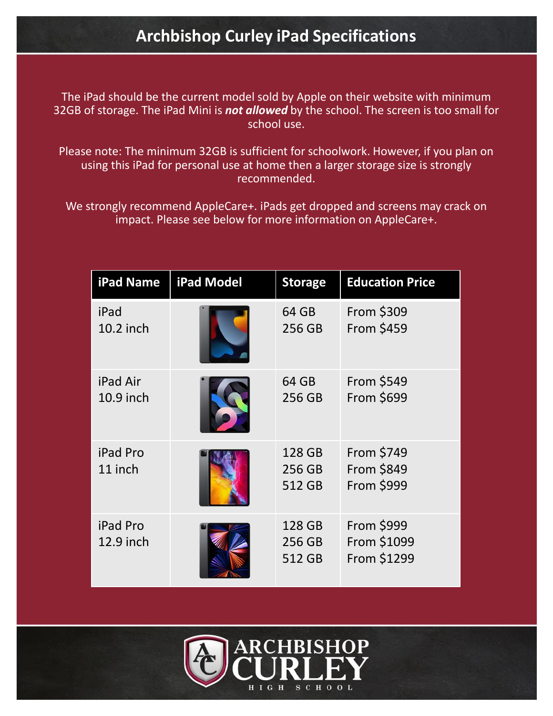# **Archbishop Curley iPad Specifications**

The iPad should be the current model sold by Apple on their website with minimum 32GB of storage. The iPad Mini is *not allowed* by the school. The screen is too small for school use.

Please note: The minimum 32GB is sufficient for schoolwork. However, if you plan on using this iPad for personal use at home then a larger storage size is strongly recommended.

We strongly recommend AppleCare+. iPads get dropped and screens may crack on impact. Please see below for more information on AppleCare+.

| <b>iPad Name</b>           | iPad Model | <b>Storage</b>             | <b>Education Price</b>                        |
|----------------------------|------------|----------------------------|-----------------------------------------------|
| iPad<br>10.2 inch          |            | 64 GB<br>256 GB            | From \$309<br><b>From \$459</b>               |
| iPad Air<br>10.9 inch      |            | 64 GB<br>256 GB            | From \$549<br>From \$699                      |
| <b>iPad Pro</b><br>11 inch |            | 128 GB<br>256 GB<br>512 GB | From \$749<br>From \$849<br><b>From \$999</b> |
| iPad Pro<br>12.9 inch      |            | 128 GB<br>256 GB<br>512 GB | From \$999<br>From \$1099<br>From \$1299      |